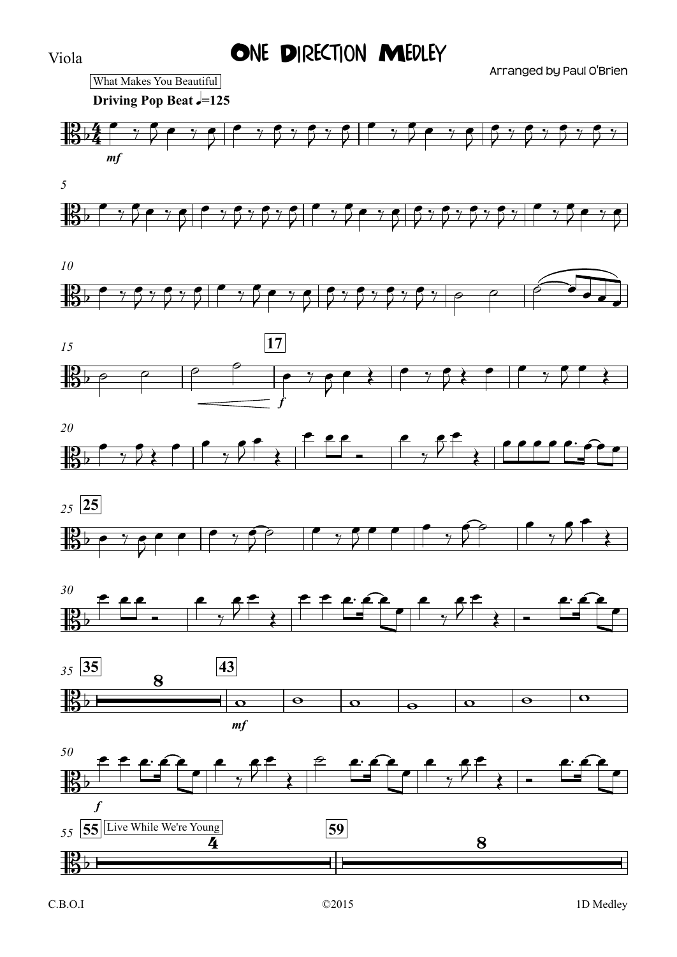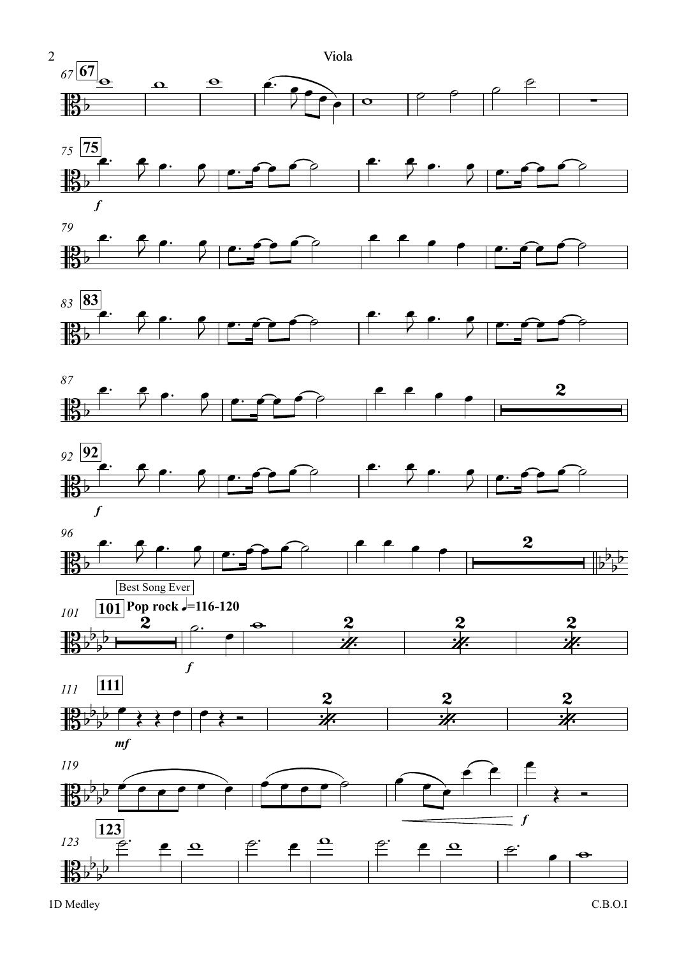

















*mf f 119* **123** *123* **B**  $\overline{b}$  $\frac{p}{2}$  $\frac{1}{2}$ 艳  $b_{\perp}b$  $b^{\frac{p}{p}}$  $\sqrt{ }$  $\epsilon$  e e e e e e e  $\overbrace{\hspace{15em}}$  $\widehat{\mathbf{e}}$   $\mathbf{f}$ œ  $\leftarrow$  $\begin{picture}(180,190) \put(0,0){\line(1,0){180}} \put(10,0){\line(1,0){180}} \put(10,0){\line(1,0){180}} \put(10,0){\line(1,0){180}} \put(10,0){\line(1,0){180}} \put(10,0){\line(1,0){180}} \put(10,0){\line(1,0){180}} \put(10,0){\line(1,0){180}} \put(10,0){\line(1,0){180}} \put(10,0){\line(1,0){180}} \put(10,0){\line(1,0){180$